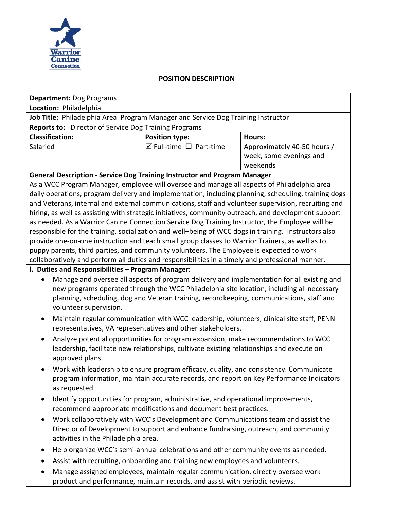

### **POSITION DESCRIPTION**

| <b>Department: Dog Programs</b>                                                  |                                        |                             |
|----------------------------------------------------------------------------------|----------------------------------------|-----------------------------|
| Location: Philadelphia                                                           |                                        |                             |
| Job Title: Philadelphia Area Program Manager and Service Dog Training Instructor |                                        |                             |
| <b>Reports to:</b> Director of Service Dog Training Programs                     |                                        |                             |
| <b>Classification:</b>                                                           | <b>Position type:</b>                  | Hours:                      |
| Salaried                                                                         | $\boxtimes$ Full-time $\Box$ Part-time | Approximately 40-50 hours / |
|                                                                                  |                                        | week, some evenings and     |
|                                                                                  |                                        | weekends                    |
| Cananal Bassinthan - Candra Bas Thebulas Institutor and Business Manager         |                                        |                             |

## **General Description - Service Dog Training Instructor and Program Manager**

As a WCC Program Manager, employee will oversee and manage all aspects of Philadelphia area daily operations, program delivery and implementation, including planning, scheduling, training dogs and Veterans, internal and external communications, staff and volunteer supervision, recruiting and hiring, as well as assisting with strategic initiatives, community outreach, and development support as needed. As a Warrior Canine Connection Service Dog Training Instructor, the Employee will be responsible for the training, socialization and well–being of WCC dogs in training. Instructors also provide one-on-one instruction and teach small group classes to Warrior Trainers, as well as to puppy parents, third parties, and community volunteers. The Employee is expected to work collaboratively and perform all duties and responsibilities in a timely and professional manner.

# **l. Duties and Responsibilities – Program Manager:**

- Manage and oversee all aspects of program delivery and implementation for all existing and new programs operated through the WCC Philadelphia site location, including all necessary planning, scheduling, dog and Veteran training, recordkeeping, communications, staff and volunteer supervision.
- Maintain regular communication with WCC leadership, volunteers, clinical site staff, PENN representatives, VA representatives and other stakeholders.
- Analyze potential opportunities for program expansion, make recommendations to WCC leadership, facilitate new relationships, cultivate existing relationships and execute on approved plans.
- Work with leadership to ensure program efficacy, quality, and consistency. Communicate program information, maintain accurate records, and report on Key Performance Indicators as requested.
- Identify opportunities for program, administrative, and operational improvements, recommend appropriate modifications and document best practices.
- Work collaboratively with WCC's Development and Communications team and assist the Director of Development to support and enhance fundraising, outreach, and community activities in the Philadelphia area.
- Help organize WCC's semi-annual celebrations and other community events as needed.
- Assist with recruiting, onboarding and training new employees and volunteers.
- Manage assigned employees, maintain regular communication, directly oversee work product and performance, maintain records, and assist with periodic reviews.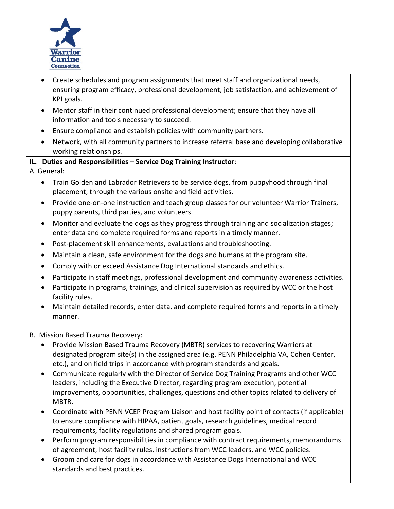

- Create schedules and program assignments that meet staff and organizational needs, ensuring program efficacy, professional development, job satisfaction, and achievement of KPI goals.
- Mentor staff in their continued professional development; ensure that they have all information and tools necessary to succeed.
- Ensure compliance and establish policies with community partners.
- Network, with all community partners to increase referral base and developing collaborative working relationships.

# **IL. Duties and Responsibilities – Service Dog Training Instructor**:

A. General:

- Train Golden and Labrador Retrievers to be service dogs, from puppyhood through final placement, through the various onsite and field activities.
- Provide one-on-one instruction and teach group classes for our volunteer Warrior Trainers, puppy parents, third parties, and volunteers.
- Monitor and evaluate the dogs as they progress through training and socialization stages; enter data and complete required forms and reports in a timely manner.
- Post-placement skill enhancements, evaluations and troubleshooting.
- Maintain a clean, safe environment for the dogs and humans at the program site.
- Comply with or exceed Assistance Dog International standards and ethics.
- Participate in staff meetings, professional development and community awareness activities.
- Participate in programs, trainings, and clinical supervision as required by WCC or the host facility rules.
- Maintain detailed records, enter data, and complete required forms and reports in a timely manner.

B. Mission Based Trauma Recovery:

- Provide Mission Based Trauma Recovery (MBTR) services to recovering Warriors at designated program site(s) in the assigned area (e.g. PENN Philadelphia VA, Cohen Center, etc.), and on field trips in accordance with program standards and goals.
- Communicate regularly with the Director of Service Dog Training Programs and other WCC leaders, including the Executive Director, regarding program execution, potential improvements, opportunities, challenges, questions and other topics related to delivery of MBTR.
- Coordinate with PENN VCEP Program Liaison and host facility point of contacts (if applicable) to ensure compliance with HIPAA, patient goals, research guidelines, medical record requirements, facility regulations and shared program goals.
- Perform program responsibilities in compliance with contract requirements, memorandums of agreement, host facility rules, instructions from WCC leaders, and WCC policies.
- Groom and care for dogs in accordance with Assistance Dogs International and WCC standards and best practices.